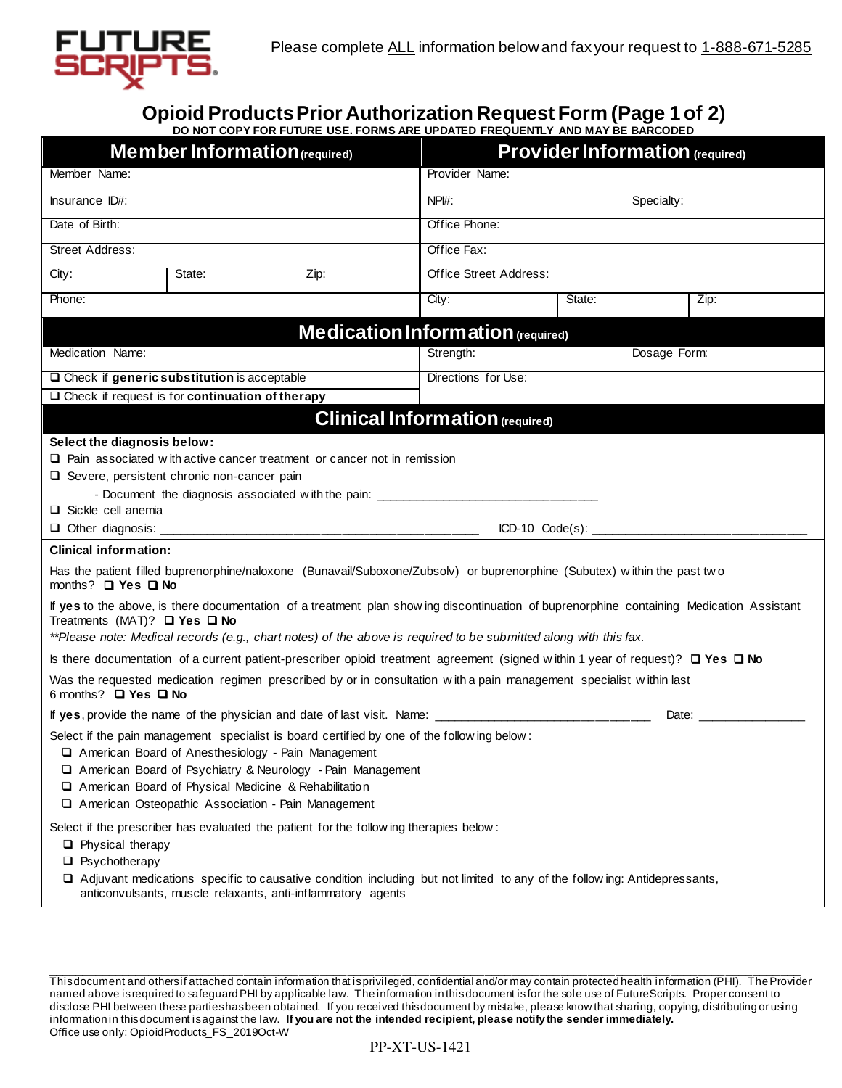

# **Opioid ProductsPrior Authorization Request Form (Page 1 of 2)**

|                                                                                                                                                                                                                                                                                                         |                                                                                                                                                                  | DO NOT COPY FOR FUTURE USE. FORMS ARE UPDATED FREQUENTLY AND MAY BE BARCODED                                                                                                                                         |                                        |        |              |            |  |
|---------------------------------------------------------------------------------------------------------------------------------------------------------------------------------------------------------------------------------------------------------------------------------------------------------|------------------------------------------------------------------------------------------------------------------------------------------------------------------|----------------------------------------------------------------------------------------------------------------------------------------------------------------------------------------------------------------------|----------------------------------------|--------|--------------|------------|--|
| Member Information (required)                                                                                                                                                                                                                                                                           |                                                                                                                                                                  |                                                                                                                                                                                                                      | <b>Provider Information (required)</b> |        |              |            |  |
| Member Name:                                                                                                                                                                                                                                                                                            |                                                                                                                                                                  |                                                                                                                                                                                                                      | Provider Name:                         |        |              |            |  |
| <b>Insurance ID#:</b>                                                                                                                                                                                                                                                                                   |                                                                                                                                                                  |                                                                                                                                                                                                                      | $NPI#$ :                               |        |              | Specialty: |  |
| Date of Birth:                                                                                                                                                                                                                                                                                          |                                                                                                                                                                  |                                                                                                                                                                                                                      | Office Phone:                          |        |              |            |  |
| <b>Street Address:</b>                                                                                                                                                                                                                                                                                  |                                                                                                                                                                  |                                                                                                                                                                                                                      | Office Fax:                            |        |              |            |  |
| City:                                                                                                                                                                                                                                                                                                   | State:                                                                                                                                                           | Zip:                                                                                                                                                                                                                 | <b>Office Street Address:</b>          |        |              |            |  |
| Phone:                                                                                                                                                                                                                                                                                                  |                                                                                                                                                                  |                                                                                                                                                                                                                      | City:                                  | State: |              | Zip:       |  |
|                                                                                                                                                                                                                                                                                                         |                                                                                                                                                                  | Medication Information (required)                                                                                                                                                                                    |                                        |        |              |            |  |
| Medication Name:                                                                                                                                                                                                                                                                                        |                                                                                                                                                                  |                                                                                                                                                                                                                      | Strength:                              |        | Dosage Form: |            |  |
| $\Box$ Check if generic substitution is acceptable                                                                                                                                                                                                                                                      |                                                                                                                                                                  |                                                                                                                                                                                                                      | Directions for Use:                    |        |              |            |  |
|                                                                                                                                                                                                                                                                                                         | $\Box$ Check if request is for continuation of the rapy                                                                                                          |                                                                                                                                                                                                                      |                                        |        |              |            |  |
| <b>Clinical Information (required)</b>                                                                                                                                                                                                                                                                  |                                                                                                                                                                  |                                                                                                                                                                                                                      |                                        |        |              |            |  |
| Select the diagnosis below:                                                                                                                                                                                                                                                                             |                                                                                                                                                                  |                                                                                                                                                                                                                      |                                        |        |              |            |  |
| $\Box$ Pain associated with active cancer treatment or cancer not in remission                                                                                                                                                                                                                          |                                                                                                                                                                  |                                                                                                                                                                                                                      |                                        |        |              |            |  |
| $\Box$ Severe, persistent chronic non-cancer pain                                                                                                                                                                                                                                                       |                                                                                                                                                                  |                                                                                                                                                                                                                      |                                        |        |              |            |  |
| - Document the diagnosis associated with the pain: ______________________________                                                                                                                                                                                                                       |                                                                                                                                                                  |                                                                                                                                                                                                                      |                                        |        |              |            |  |
| $\Box$ Sickle cell anemia                                                                                                                                                                                                                                                                               |                                                                                                                                                                  |                                                                                                                                                                                                                      |                                        |        |              |            |  |
| $\Box$ Other diagnosis: $\_\_$                                                                                                                                                                                                                                                                          |                                                                                                                                                                  |                                                                                                                                                                                                                      |                                        |        |              |            |  |
| <b>Clinical information:</b>                                                                                                                                                                                                                                                                            |                                                                                                                                                                  |                                                                                                                                                                                                                      |                                        |        |              |            |  |
| months? □ Yes □ No                                                                                                                                                                                                                                                                                      |                                                                                                                                                                  | Has the patient filled buprenorphine/naloxone (Bunavail/Suboxone/Zubsolv) or buprenorphine (Subutex) within the past two                                                                                             |                                        |        |              |            |  |
| If yes to the above, is there documentation of a treatment plan show ing discontinuation of buprenorphine containing Medication Assistant<br>Treatments (MAT)? $\Box$ Yes $\Box$ No<br>**Please note: Medical records (e.g., chart notes) of the above is required to be submitted along with this fax. |                                                                                                                                                                  |                                                                                                                                                                                                                      |                                        |        |              |            |  |
|                                                                                                                                                                                                                                                                                                         |                                                                                                                                                                  |                                                                                                                                                                                                                      |                                        |        |              |            |  |
| Is there documentation of a current patient-prescriber opioid treatment agreement (signed within 1 year of request)? $\Box$ Yes $\Box$ No<br>Was the requested medication regimen prescribed by or in consultation with a pain management specialist within last                                        |                                                                                                                                                                  |                                                                                                                                                                                                                      |                                        |        |              |            |  |
| 6 months? □ Yes □ No                                                                                                                                                                                                                                                                                    |                                                                                                                                                                  |                                                                                                                                                                                                                      |                                        |        |              |            |  |
|                                                                                                                                                                                                                                                                                                         |                                                                                                                                                                  | If yes, provide the name of the physician and date of last visit. Name: ___________________________                                                                                                                  |                                        |        | Date:        |            |  |
|                                                                                                                                                                                                                                                                                                         | American Board of Anesthesiology - Pain Management<br>American Board of Physical Medicine & Rehabilitation<br>American Osteopathic Association - Pain Management | Select if the pain management specialist is board certified by one of the following below:<br>American Board of Psychiatry & Neurology - Pain Management                                                             |                                        |        |              |            |  |
| $\Box$ Physical therapy<br>$\Box$ Psychotherapy                                                                                                                                                                                                                                                         | anticonvulsants, muscle relaxants, anti-inflammatory agents                                                                                                      | Select if the prescriber has evaluated the patient for the following therapies below:<br>□ Adjuvant medications specific to causative condition including but not limited to any of the follow ing: Antidepressants, |                                        |        |              |            |  |

This document and others if attached contain information that is privileged, confidential and/or may contain protected health information (PHI). The Provider named above is required to safeguard PHI by applicable law. The information in this document is for the sole use of FutureScripts. Proper consent to disclose PHI between these parties has been obtained. If you received this document by mistake, please know that sharing, copying, distributing or using information in this document is against the law. **If you are not the intended recipient, please notify the sender immediately.** Office use only: OpioidProducts\_FS\_2019Oct-W

\_\_\_\_\_\_\_\_\_\_\_\_\_\_\_\_\_\_\_\_\_\_\_\_\_\_\_\_\_\_\_\_\_\_\_\_\_\_\_\_\_\_\_\_\_\_\_\_\_\_\_\_\_\_\_\_\_\_\_\_\_\_\_\_\_\_\_\_\_\_\_\_\_\_\_\_\_\_\_\_\_\_\_\_\_\_\_\_\_\_\_\_\_\_\_\_\_\_\_\_\_\_\_\_\_\_\_\_\_\_